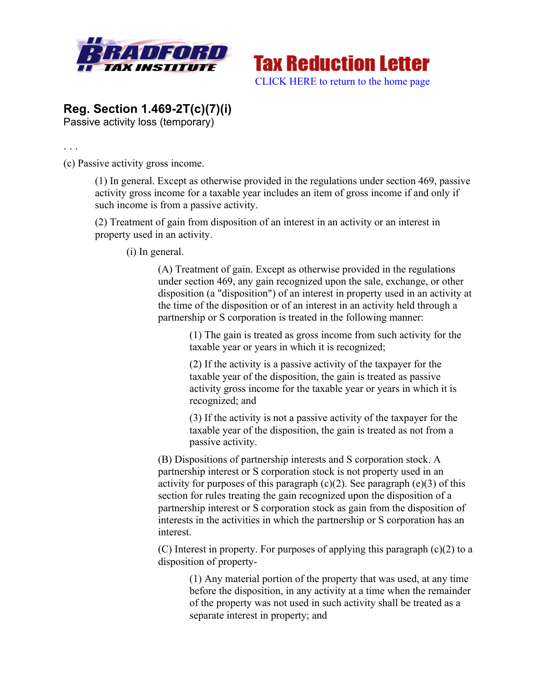



## **Reg. Section 1.469-2T(c)(7)(i)**

Passive activity loss (temporary)

. . .

(c) Passive activity gross income.

(1) In general. Except as otherwise provided in the regulations under section 469, passive activity gross income for a taxable year includes an item of gross income if and only if such income is from a passive activity.

(2) Treatment of gain from disposition of an interest in an activity or an interest in property used in an activity.

(i) In general.

(A) Treatment of gain. Except as otherwise provided in the regulations under section 469, any gain recognized upon the sale, exchange, or other disposition (a "disposition") of an interest in property used in an activity at the time of the disposition or of an interest in an activity held through a partnership or S corporation is treated in the following manner:

> (1) The gain is treated as gross income from such activity for the taxable year or years in which it is recognized;

(2) If the activity is a passive activity of the taxpayer for the taxable year of the disposition, the gain is treated as passive activity gross income for the taxable year or years in which it is recognized; and

(3) If the activity is not a passive activity of the taxpayer for the taxable year of the disposition, the gain is treated as not from a passive activity.

(B) Dispositions of partnership interests and S corporation stock. A partnership interest or S corporation stock is not property used in an activity for purposes of this paragraph  $(c)(2)$ . See paragraph  $(e)(3)$  of this section for rules treating the gain recognized upon the disposition of a partnership interest or S corporation stock as gain from the disposition of interests in the activities in which the partnership or S corporation has an interest.

(C) Interest in property. For purposes of applying this paragraph (c)(2) to a disposition of property-

(1) Any material portion of the property that was used, at any time before the disposition, in any activity at a time when the remainder of the property was not used in such activity shall be treated as a separate interest in property; and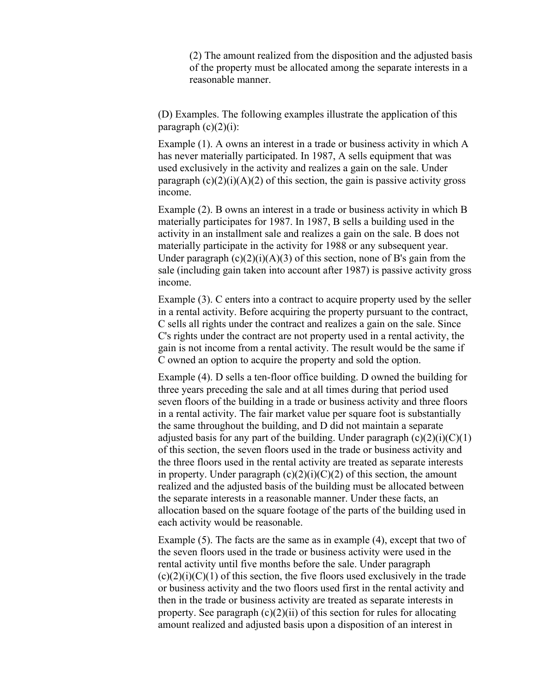(2) The amount realized from the disposition and the adjusted basis of the property must be allocated among the separate interests in a reasonable manner.

(D) Examples. The following examples illustrate the application of this paragraph  $(c)(2)(i)$ :

Example (1). A owns an interest in a trade or business activity in which A has never materially participated. In 1987, A sells equipment that was used exclusively in the activity and realizes a gain on the sale. Under paragraph  $(c)(2)(i)(A)(2)$  of this section, the gain is passive activity gross income.

Example (2). B owns an interest in a trade or business activity in which B materially participates for 1987. In 1987, B sells a building used in the activity in an installment sale and realizes a gain on the sale. B does not materially participate in the activity for 1988 or any subsequent year. Under paragraph  $(c)(2)(i)(A)(3)$  of this section, none of B's gain from the sale (including gain taken into account after 1987) is passive activity gross income.

Example (3). C enters into a contract to acquire property used by the seller in a rental activity. Before acquiring the property pursuant to the contract, C sells all rights under the contract and realizes a gain on the sale. Since C's rights under the contract are not property used in a rental activity, the gain is not income from a rental activity. The result would be the same if C owned an option to acquire the property and sold the option.

Example (4). D sells a ten-floor office building. D owned the building for three years preceding the sale and at all times during that period used seven floors of the building in a trade or business activity and three floors in a rental activity. The fair market value per square foot is substantially the same throughout the building, and D did not maintain a separate adjusted basis for any part of the building. Under paragraph  $(c)(2)(i)(C)(1)$ of this section, the seven floors used in the trade or business activity and the three floors used in the rental activity are treated as separate interests in property. Under paragraph  $(c)(2)(i)(C)(2)$  of this section, the amount realized and the adjusted basis of the building must be allocated between the separate interests in a reasonable manner. Under these facts, an allocation based on the square footage of the parts of the building used in each activity would be reasonable.

Example (5). The facts are the same as in example (4), except that two of the seven floors used in the trade or business activity were used in the rental activity until five months before the sale. Under paragraph  $(c)(2)(i)(C)(1)$  of this section, the five floors used exclusively in the trade or business activity and the two floors used first in the rental activity and then in the trade or business activity are treated as separate interests in property. See paragraph  $(c)(2)(ii)$  of this section for rules for allocating amount realized and adjusted basis upon a disposition of an interest in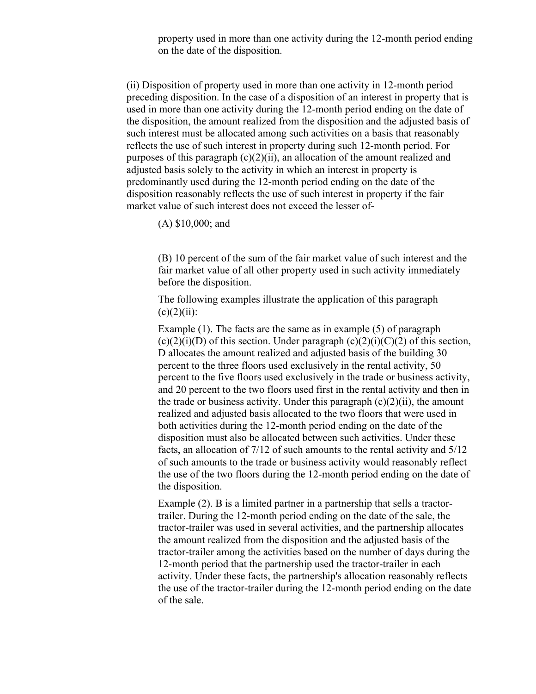property used in more than one activity during the 12-month period ending on the date of the disposition.

(ii) Disposition of property used in more than one activity in 12-month period preceding disposition. In the case of a disposition of an interest in property that is used in more than one activity during the 12-month period ending on the date of the disposition, the amount realized from the disposition and the adjusted basis of such interest must be allocated among such activities on a basis that reasonably reflects the use of such interest in property during such 12-month period. For purposes of this paragraph  $(c)(2)(ii)$ , an allocation of the amount realized and adjusted basis solely to the activity in which an interest in property is predominantly used during the 12-month period ending on the date of the disposition reasonably reflects the use of such interest in property if the fair market value of such interest does not exceed the lesser of-

(A) \$10,000; and

(B) 10 percent of the sum of the fair market value of such interest and the fair market value of all other property used in such activity immediately before the disposition.

The following examples illustrate the application of this paragraph  $(c)(2)(ii)$ :

Example (1). The facts are the same as in example (5) of paragraph  $(c)(2)(i)(D)$  of this section. Under paragraph  $(c)(2)(i)(C)(2)$  of this section, D allocates the amount realized and adjusted basis of the building 30 percent to the three floors used exclusively in the rental activity, 50 percent to the five floors used exclusively in the trade or business activity, and 20 percent to the two floors used first in the rental activity and then in the trade or business activity. Under this paragraph  $(c)(2)(ii)$ , the amount realized and adjusted basis allocated to the two floors that were used in both activities during the 12-month period ending on the date of the disposition must also be allocated between such activities. Under these facts, an allocation of 7/12 of such amounts to the rental activity and 5/12 of such amounts to the trade or business activity would reasonably reflect the use of the two floors during the 12-month period ending on the date of the disposition.

Example (2). B is a limited partner in a partnership that sells a tractortrailer. During the 12-month period ending on the date of the sale, the tractor-trailer was used in several activities, and the partnership allocates the amount realized from the disposition and the adjusted basis of the tractor-trailer among the activities based on the number of days during the 12-month period that the partnership used the tractor-trailer in each activity. Under these facts, the partnership's allocation reasonably reflects the use of the tractor-trailer during the 12-month period ending on the date of the sale.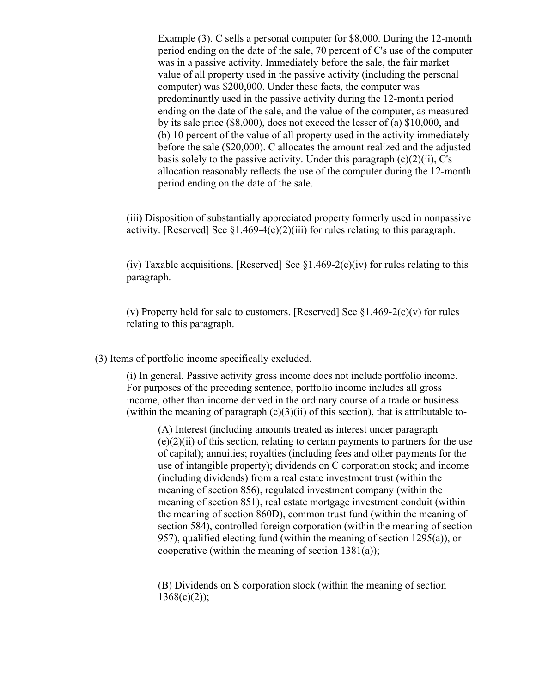Example (3). C sells a personal computer for \$8,000. During the 12-month period ending on the date of the sale, 70 percent of C's use of the computer was in a passive activity. Immediately before the sale, the fair market value of all property used in the passive activity (including the personal computer) was \$200,000. Under these facts, the computer was predominantly used in the passive activity during the 12-month period ending on the date of the sale, and the value of the computer, as measured by its sale price (\$8,000), does not exceed the lesser of (a) \$10,000, and (b) 10 percent of the value of all property used in the activity immediately before the sale (\$20,000). C allocates the amount realized and the adjusted basis solely to the passive activity. Under this paragraph  $(c)(2)(ii)$ , C's allocation reasonably reflects the use of the computer during the 12-month period ending on the date of the sale.

(iii) Disposition of substantially appreciated property formerly used in nonpassive activity. [Reserved] See  $\S1.469-4(c)(2)(iii)$  for rules relating to this paragraph.

(iv) Taxable acquisitions. [Reserved] See  $\S1.469-2(c)(iv)$  for rules relating to this paragraph.

(v) Property held for sale to customers. [Reserved] See  $$1.469-2(c)(v)$  for rules relating to this paragraph.

(3) Items of portfolio income specifically excluded.

(i) In general. Passive activity gross income does not include portfolio income. For purposes of the preceding sentence, portfolio income includes all gross income, other than income derived in the ordinary course of a trade or business (within the meaning of paragraph  $(c)(3)(ii)$  of this section), that is attributable to-

(A) Interest (including amounts treated as interest under paragraph  $(e)(2)(ii)$  of this section, relating to certain payments to partners for the use of capital); annuities; royalties (including fees and other payments for the use of intangible property); dividends on C corporation stock; and income (including dividends) from a real estate investment trust (within the meaning of section 856), regulated investment company (within the meaning of section 851), real estate mortgage investment conduit (within the meaning of section 860D), common trust fund (within the meaning of section 584), controlled foreign corporation (within the meaning of section 957), qualified electing fund (within the meaning of section  $1295(a)$ ), or cooperative (within the meaning of section  $1381(a)$ );

(B) Dividends on S corporation stock (within the meaning of section  $1368(c)(2)$ ;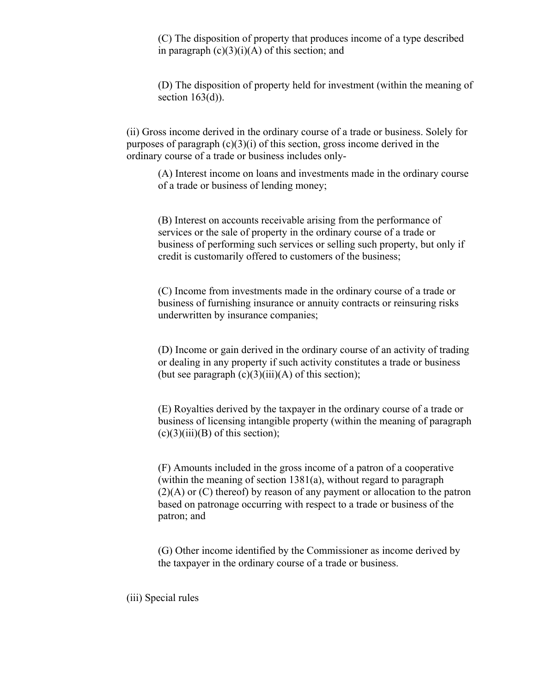(C) The disposition of property that produces income of a type described in paragraph  $(c)(3)(i)(A)$  of this section; and

(D) The disposition of property held for investment (within the meaning of section  $163(d)$ ).

(ii) Gross income derived in the ordinary course of a trade or business. Solely for purposes of paragraph  $(c)(3)(i)$  of this section, gross income derived in the ordinary course of a trade or business includes only-

(A) Interest income on loans and investments made in the ordinary course of a trade or business of lending money;

(B) Interest on accounts receivable arising from the performance of services or the sale of property in the ordinary course of a trade or business of performing such services or selling such property, but only if credit is customarily offered to customers of the business;

(C) Income from investments made in the ordinary course of a trade or business of furnishing insurance or annuity contracts or reinsuring risks underwritten by insurance companies;

(D) Income or gain derived in the ordinary course of an activity of trading or dealing in any property if such activity constitutes a trade or business (but see paragraph  $(c)(3)(iii)(A)$  of this section);

(E) Royalties derived by the taxpayer in the ordinary course of a trade or business of licensing intangible property (within the meaning of paragraph  $(c)(3)(iii)(B)$  of this section);

(F) Amounts included in the gross income of a patron of a cooperative (within the meaning of section 1381(a), without regard to paragraph (2)(A) or (C) thereof) by reason of any payment or allocation to the patron based on patronage occurring with respect to a trade or business of the patron; and

(G) Other income identified by the Commissioner as income derived by the taxpayer in the ordinary course of a trade or business.

(iii) Special rules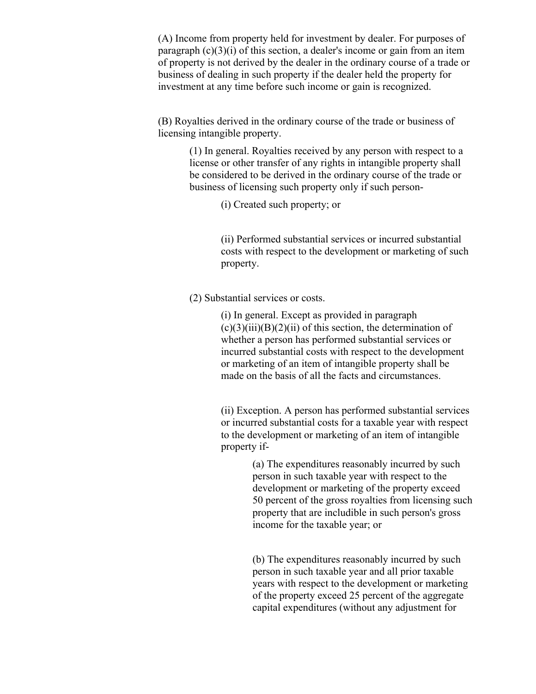(A) Income from property held for investment by dealer. For purposes of paragraph  $(c)(3)(i)$  of this section, a dealer's income or gain from an item of property is not derived by the dealer in the ordinary course of a trade or business of dealing in such property if the dealer held the property for investment at any time before such income or gain is recognized.

(B) Royalties derived in the ordinary course of the trade or business of licensing intangible property.

> (1) In general. Royalties received by any person with respect to a license or other transfer of any rights in intangible property shall be considered to be derived in the ordinary course of the trade or business of licensing such property only if such person-

> > (i) Created such property; or

(ii) Performed substantial services or incurred substantial costs with respect to the development or marketing of such property.

(2) Substantial services or costs.

(i) In general. Except as provided in paragraph  $(c)(3)(iii)(B)(2)(ii)$  of this section, the determination of whether a person has performed substantial services or incurred substantial costs with respect to the development or marketing of an item of intangible property shall be made on the basis of all the facts and circumstances.

(ii) Exception. A person has performed substantial services or incurred substantial costs for a taxable year with respect to the development or marketing of an item of intangible property if-

> (a) The expenditures reasonably incurred by such person in such taxable year with respect to the development or marketing of the property exceed 50 percent of the gross royalties from licensing such property that are includible in such person's gross income for the taxable year; or

(b) The expenditures reasonably incurred by such person in such taxable year and all prior taxable years with respect to the development or marketing of the property exceed 25 percent of the aggregate capital expenditures (without any adjustment for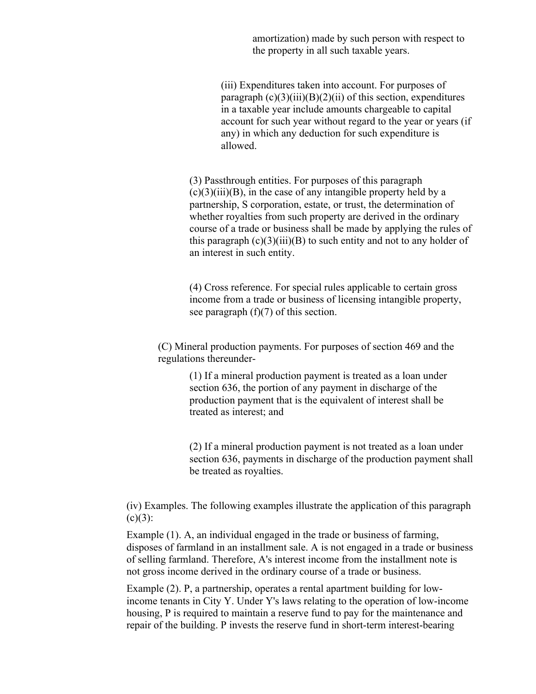amortization) made by such person with respect to the property in all such taxable years.

(iii) Expenditures taken into account. For purposes of paragraph  $(c)(3)(iii)(B)(2)(ii)$  of this section, expenditures in a taxable year include amounts chargeable to capital account for such year without regard to the year or years (if any) in which any deduction for such expenditure is allowed.

(3) Passthrough entities. For purposes of this paragraph  $(c)(3)(iii)(B)$ , in the case of any intangible property held by a partnership, S corporation, estate, or trust, the determination of whether royalties from such property are derived in the ordinary course of a trade or business shall be made by applying the rules of this paragraph  $(c)(3)(iii)(B)$  to such entity and not to any holder of an interest in such entity.

(4) Cross reference. For special rules applicable to certain gross income from a trade or business of licensing intangible property, see paragraph  $(f)(7)$  of this section.

(C) Mineral production payments. For purposes of section 469 and the regulations thereunder-

> (1) If a mineral production payment is treated as a loan under section 636, the portion of any payment in discharge of the production payment that is the equivalent of interest shall be treated as interest; and

(2) If a mineral production payment is not treated as a loan under section 636, payments in discharge of the production payment shall be treated as royalties.

(iv) Examples. The following examples illustrate the application of this paragraph  $(c)(3)$ :

Example (1). A, an individual engaged in the trade or business of farming, disposes of farmland in an installment sale. A is not engaged in a trade or business of selling farmland. Therefore, A's interest income from the installment note is not gross income derived in the ordinary course of a trade or business.

Example (2). P, a partnership, operates a rental apartment building for lowincome tenants in City Y. Under Y's laws relating to the operation of low-income housing, P is required to maintain a reserve fund to pay for the maintenance and repair of the building. P invests the reserve fund in short-term interest-bearing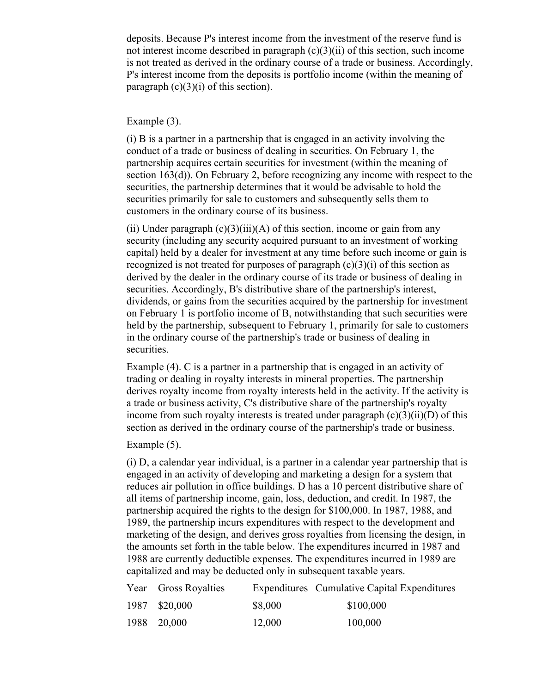deposits. Because P's interest income from the investment of the reserve fund is not interest income described in paragraph  $(c)(3)(ii)$  of this section, such income is not treated as derived in the ordinary course of a trade or business. Accordingly, P's interest income from the deposits is portfolio income (within the meaning of paragraph  $(c)(3)(i)$  of this section).

## Example (3).

(i) B is a partner in a partnership that is engaged in an activity involving the conduct of a trade or business of dealing in securities. On February 1, the partnership acquires certain securities for investment (within the meaning of section 163(d)). On February 2, before recognizing any income with respect to the securities, the partnership determines that it would be advisable to hold the securities primarily for sale to customers and subsequently sells them to customers in the ordinary course of its business.

(ii) Under paragraph  $(c)(3)(iii)(A)$  of this section, income or gain from any security (including any security acquired pursuant to an investment of working capital) held by a dealer for investment at any time before such income or gain is recognized is not treated for purposes of paragraph  $(c)(3)(i)$  of this section as derived by the dealer in the ordinary course of its trade or business of dealing in securities. Accordingly, B's distributive share of the partnership's interest, dividends, or gains from the securities acquired by the partnership for investment on February 1 is portfolio income of B, notwithstanding that such securities were held by the partnership, subsequent to February 1, primarily for sale to customers in the ordinary course of the partnership's trade or business of dealing in securities.

Example (4). C is a partner in a partnership that is engaged in an activity of trading or dealing in royalty interests in mineral properties. The partnership derives royalty income from royalty interests held in the activity. If the activity is a trade or business activity, C's distributive share of the partnership's royalty income from such royalty interests is treated under paragraph  $(c)(3)(ii)(D)$  of this section as derived in the ordinary course of the partnership's trade or business.

## Example (5).

(i) D, a calendar year individual, is a partner in a calendar year partnership that is engaged in an activity of developing and marketing a design for a system that reduces air pollution in office buildings. D has a 10 percent distributive share of all items of partnership income, gain, loss, deduction, and credit. In 1987, the partnership acquired the rights to the design for \$100,000. In 1987, 1988, and 1989, the partnership incurs expenditures with respect to the development and marketing of the design, and derives gross royalties from licensing the design, in the amounts set forth in the table below. The expenditures incurred in 1987 and 1988 are currently deductible expenses. The expenditures incurred in 1989 are capitalized and may be deducted only in subsequent taxable years.

| Year Gross Royalties |         | Expenditures Cumulative Capital Expenditures |
|----------------------|---------|----------------------------------------------|
| 1987 \$20,000        | \$8,000 | \$100,000                                    |
| 1988 20,000          | 12,000  | 100,000                                      |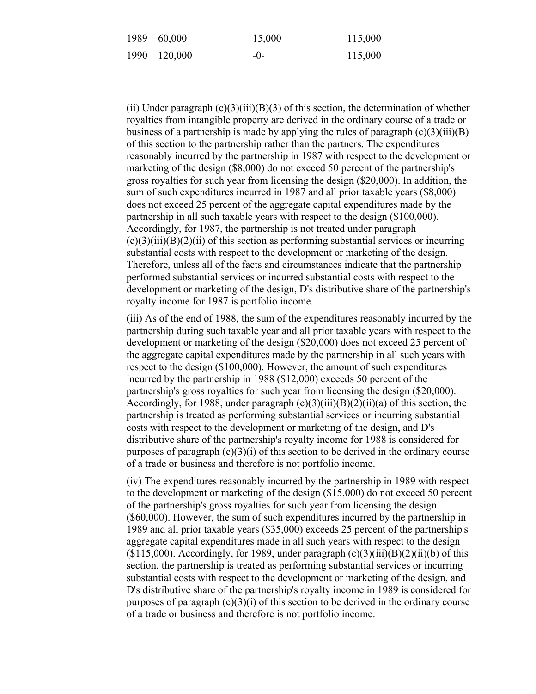| 1989 60,000  | 15,000  | 115,000 |
|--------------|---------|---------|
| 1990 120,000 | $-()$ - | 115,000 |

(ii) Under paragraph  $(c)(3)(iii)(B)(3)$  of this section, the determination of whether royalties from intangible property are derived in the ordinary course of a trade or business of a partnership is made by applying the rules of paragraph  $(c)(3)(iii)(B)$ of this section to the partnership rather than the partners. The expenditures reasonably incurred by the partnership in 1987 with respect to the development or marketing of the design (\$8,000) do not exceed 50 percent of the partnership's gross royalties for such year from licensing the design (\$20,000). In addition, the sum of such expenditures incurred in 1987 and all prior taxable years (\$8,000) does not exceed 25 percent of the aggregate capital expenditures made by the partnership in all such taxable years with respect to the design (\$100,000). Accordingly, for 1987, the partnership is not treated under paragraph  $(c)(3)(iii)(B)(2)(ii)$  of this section as performing substantial services or incurring substantial costs with respect to the development or marketing of the design. Therefore, unless all of the facts and circumstances indicate that the partnership performed substantial services or incurred substantial costs with respect to the development or marketing of the design, D's distributive share of the partnership's royalty income for 1987 is portfolio income.

(iii) As of the end of 1988, the sum of the expenditures reasonably incurred by the partnership during such taxable year and all prior taxable years with respect to the development or marketing of the design (\$20,000) does not exceed 25 percent of the aggregate capital expenditures made by the partnership in all such years with respect to the design (\$100,000). However, the amount of such expenditures incurred by the partnership in 1988 (\$12,000) exceeds 50 percent of the partnership's gross royalties for such year from licensing the design (\$20,000). Accordingly, for 1988, under paragraph  $(c)(3)(iii)(B)(2)(ii)(a)$  of this section, the partnership is treated as performing substantial services or incurring substantial costs with respect to the development or marketing of the design, and D's distributive share of the partnership's royalty income for 1988 is considered for purposes of paragraph  $(c)(3)(i)$  of this section to be derived in the ordinary course of a trade or business and therefore is not portfolio income.

(iv) The expenditures reasonably incurred by the partnership in 1989 with respect to the development or marketing of the design (\$15,000) do not exceed 50 percent of the partnership's gross royalties for such year from licensing the design (\$60,000). However, the sum of such expenditures incurred by the partnership in 1989 and all prior taxable years (\$35,000) exceeds 25 percent of the partnership's aggregate capital expenditures made in all such years with respect to the design  $(\$115,000)$ . Accordingly, for 1989, under paragraph  $(c)(3)(iii)(B)(2)(ii)(b)$  of this section, the partnership is treated as performing substantial services or incurring substantial costs with respect to the development or marketing of the design, and D's distributive share of the partnership's royalty income in 1989 is considered for purposes of paragraph  $(c)(3)(i)$  of this section to be derived in the ordinary course of a trade or business and therefore is not portfolio income.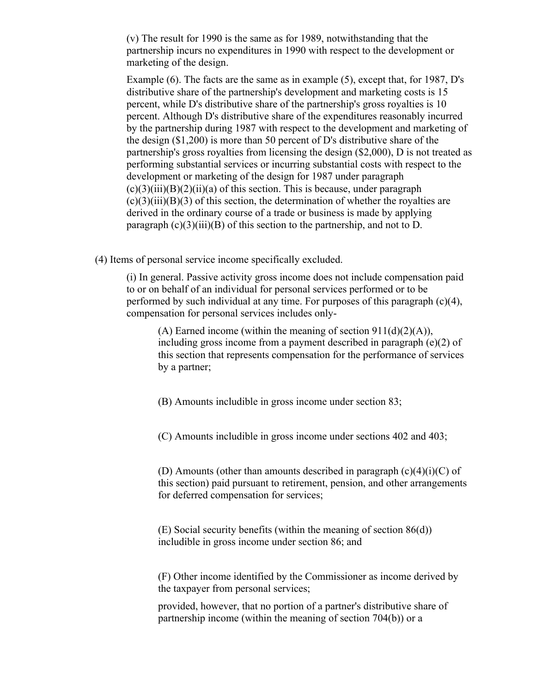(v) The result for 1990 is the same as for 1989, notwithstanding that the partnership incurs no expenditures in 1990 with respect to the development or marketing of the design.

Example (6). The facts are the same as in example (5), except that, for 1987, D's distributive share of the partnership's development and marketing costs is 15 percent, while D's distributive share of the partnership's gross royalties is 10 percent. Although D's distributive share of the expenditures reasonably incurred by the partnership during 1987 with respect to the development and marketing of the design (\$1,200) is more than 50 percent of D's distributive share of the partnership's gross royalties from licensing the design (\$2,000), D is not treated as performing substantial services or incurring substantial costs with respect to the development or marketing of the design for 1987 under paragraph  $(c)(3)(iii)(B)(2)(ii)(a)$  of this section. This is because, under paragraph  $(c)(3)(iii)(B)(3)$  of this section, the determination of whether the royalties are derived in the ordinary course of a trade or business is made by applying paragraph  $(c)(3)(iii)(B)$  of this section to the partnership, and not to D.

(4) Items of personal service income specifically excluded.

(i) In general. Passive activity gross income does not include compensation paid to or on behalf of an individual for personal services performed or to be performed by such individual at any time. For purposes of this paragraph  $(c)(4)$ , compensation for personal services includes only-

(A) Earned income (within the meaning of section  $911(d)(2)(A)$ ), including gross income from a payment described in paragraph (e)(2) of this section that represents compensation for the performance of services by a partner;

(B) Amounts includible in gross income under section 83;

(C) Amounts includible in gross income under sections 402 and 403;

(D) Amounts (other than amounts described in paragraph  $(c)(4)(i)(C)$  of this section) paid pursuant to retirement, pension, and other arrangements for deferred compensation for services;

(E) Social security benefits (within the meaning of section 86(d)) includible in gross income under section 86; and

(F) Other income identified by the Commissioner as income derived by the taxpayer from personal services;

provided, however, that no portion of a partner's distributive share of partnership income (within the meaning of section 704(b)) or a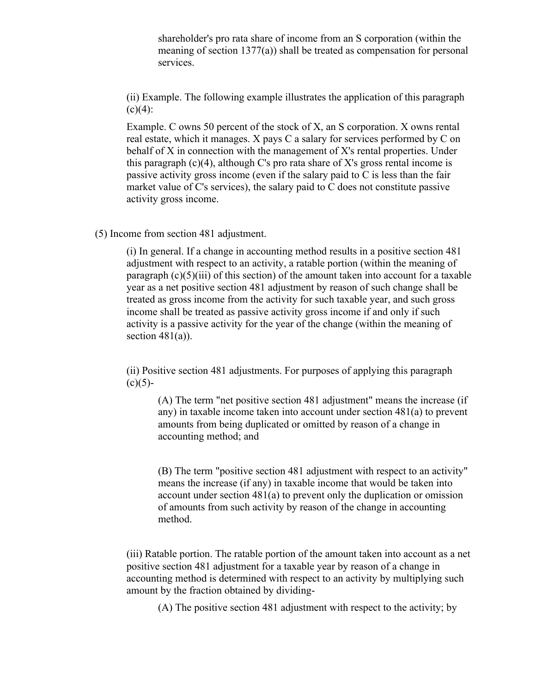shareholder's pro rata share of income from an S corporation (within the meaning of section 1377(a)) shall be treated as compensation for personal services.

(ii) Example. The following example illustrates the application of this paragraph  $(c)(4)$ :

Example. C owns 50 percent of the stock of X, an S corporation. X owns rental real estate, which it manages. X pays C a salary for services performed by C on behalf of X in connection with the management of X's rental properties. Under this paragraph  $(c)(4)$ , although C's pro rata share of X's gross rental income is passive activity gross income (even if the salary paid to C is less than the fair market value of C's services), the salary paid to C does not constitute passive activity gross income.

(5) Income from section 481 adjustment.

(i) In general. If a change in accounting method results in a positive section 481 adjustment with respect to an activity, a ratable portion (within the meaning of paragraph  $(c)(5)(iii)$  of this section) of the amount taken into account for a taxable year as a net positive section 481 adjustment by reason of such change shall be treated as gross income from the activity for such taxable year, and such gross income shall be treated as passive activity gross income if and only if such activity is a passive activity for the year of the change (within the meaning of section  $481(a)$ ).

(ii) Positive section 481 adjustments. For purposes of applying this paragraph  $(c)(5)$ -

(A) The term "net positive section 481 adjustment" means the increase (if any) in taxable income taken into account under section 481(a) to prevent amounts from being duplicated or omitted by reason of a change in accounting method; and

(B) The term "positive section 481 adjustment with respect to an activity" means the increase (if any) in taxable income that would be taken into account under section 481(a) to prevent only the duplication or omission of amounts from such activity by reason of the change in accounting method.

(iii) Ratable portion. The ratable portion of the amount taken into account as a net positive section 481 adjustment for a taxable year by reason of a change in accounting method is determined with respect to an activity by multiplying such amount by the fraction obtained by dividing-

(A) The positive section 481 adjustment with respect to the activity; by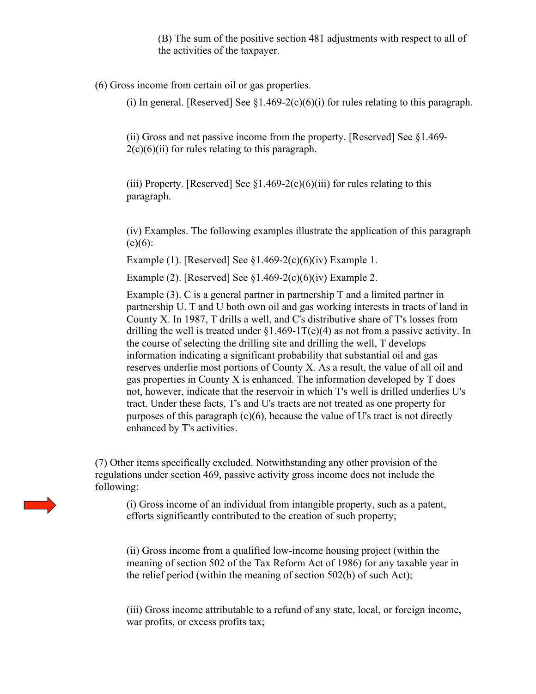(B) The sum of the positive section 481 adjustments with respect to all of the activities of the taxpayer.

(6) Gross income from certain oil or gas properties.

(i) In general. [Reserved] See  $$1.469-2(c)(6)(i)$  for rules relating to this paragraph.

(ii) Gross and net passive income from the property. [Reserved] See §1.469-  $2(c)(6)(ii)$  for rules relating to this paragraph.

(iii) Property. [Reserved] See  $\S1.469-2(c)(6)(iii)$  for rules relating to this paragraph.

(iv) Examples. The following examples illustrate the application of this paragraph  $(c)(6)$ :

Example (1). [Reserved] See  $§1.469-2(c)(6)(iv)$  Example 1.

Example (2). [Reserved] See  $\S1.469-2(c)(6)(iv)$  Example 2.

Example  $(3)$ . C is a general partner in partnership T and a limited partner in partnership U. T and U both own oil and gas working interests in tracts of land in County X. In 1987, T drills a well, and C's distributive share of T's losses from drilling the well is treated under  $\S1.469-1T(e)(4)$  as not from a passive activity. In the course of selecting the drilling site and drilling the well, T develops information indicating a significant probability that substantial oil and gas reserves underlie most portions of County X. As a result, the value of all oil and gas properties in County X is enhanced. The information developed by T does not, however, indicate that the reservoir in which T's well is drilled underlies U's tract. Under these facts, T's and U's tracts are not treated as one property for purposes of this paragraph  $(c)(6)$ , because the value of U's tract is not directly enhanced by T's activities.

(7) Other items specifically excluded. Notwithstanding any other provision of the regulations under section 469, passive activity gross income does not include the following:

(i) Gross income of an individual from intangible property, such as a patent, efforts significantly contributed to the creation of such property;

(ii) Gross income from a qualified low-income housing project (within the meaning of section 502 of the Tax Reform Act of 1986) for any taxable year in the relief period (within the meaning of section 502(b) of such Act);

(iii) Gross income attributable to a refund of any state, local, or foreign income, war profits, or excess profits tax;